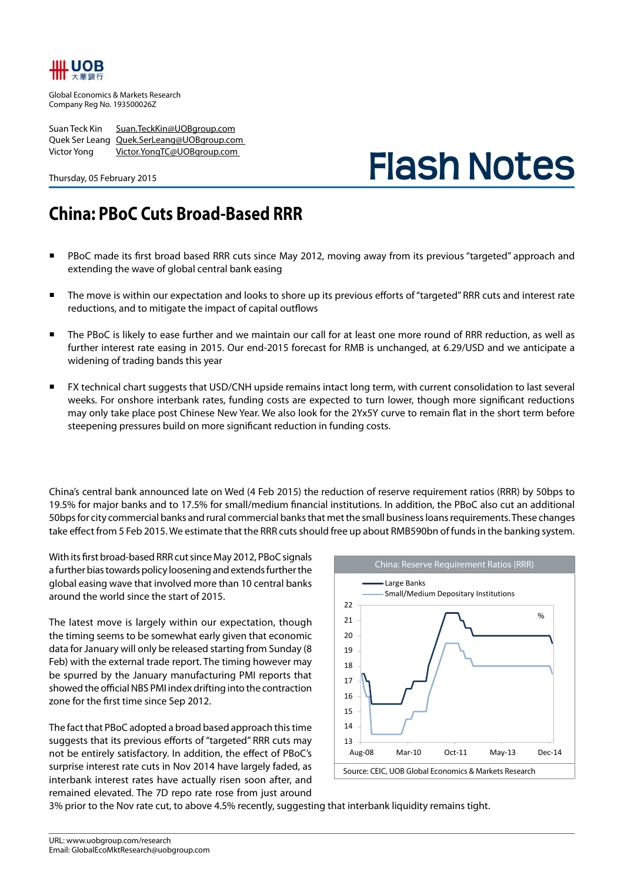## ШL UOB

Global Economics & Markets Research Company Reg No. 193500026Z

Suan Teck Kin Suan.TeckKin@UOBgroup.com Quek Ser Leang Quek.SerLeang@UOBgroup.com Victor Yong Victor.YongTC@UOBgroup.com

Thursday, 05 February 2015

# **Flash Notes**

## **China: PBoC Cuts Broad-Based RRR**

- PBoC made its first broad based RRR cuts since May 2012, moving away from its previous "targeted" approach and extending the wave of global central bank easing
- The move is within our expectation and looks to shore up its previous efforts of "targeted" RRR cuts and interest rate reductions, and to mitigate the impact of capital outflows
- The PBoC is likely to ease further and we maintain our call for at least one more round of RRR reduction, as well as further interest rate easing in 2015. Our end-2015 forecast for RMB is unchanged, at 6.29/USD and we anticipate a widening of trading bands this year
- FX technical chart suggests that USD/CNH upside remains intact long term, with current consolidation to last several weeks. For onshore interbank rates, funding costs are expected to turn lower, though more significant reductions may only take place post Chinese New Year. We also look for the 2Yx5Y curve to remain flat in the short term before steepening pressures build on more significant reduction in funding costs.

China's central bank announced late on Wed (4 Feb 2015) the reduction of reserve requirement ratios (RRR) by 50bps to 19.5% for major banks and to 17.5% for small/medium financial institutions. In addition, the PBoC also cut an additional 50bps for city commercial banks and rural commercial banks that met the small business loans requirements. These changes take effect from 5 Feb 2015. We estimate that the RRR cuts should free up about RMB590bn of funds in the banking system.

With its first broad-based RRR cut since May 2012, PBoC signals a further bias towards policy loosening and extends further the global easing wave that involved more than 10 central banks around the world since the start of 2015.

The latest move is largely within our expectation, though the timing seems to be somewhat early given that economic data for January will only be released starting from Sunday (8 Feb) with the external trade report. The timing however may be spurred by the January manufacturing PMI reports that showed the official NBS PMI index drifting into the contraction zone for the first time since Sep 2012.

The fact that PBoC adopted a broad based approach this time suggests that its previous efforts of "targeted" RRR cuts may not be entirely satisfactory. In addition, the effect of PBoC's surprise interest rate cuts in Nov 2014 have largely faded, as interbank interest rates have actually risen soon after, and remained elevated. The 7D repo rate rose from just around



3% prior to the Nov rate cut, to above 4.5% recently, suggesting that interbank liquidity remains tight.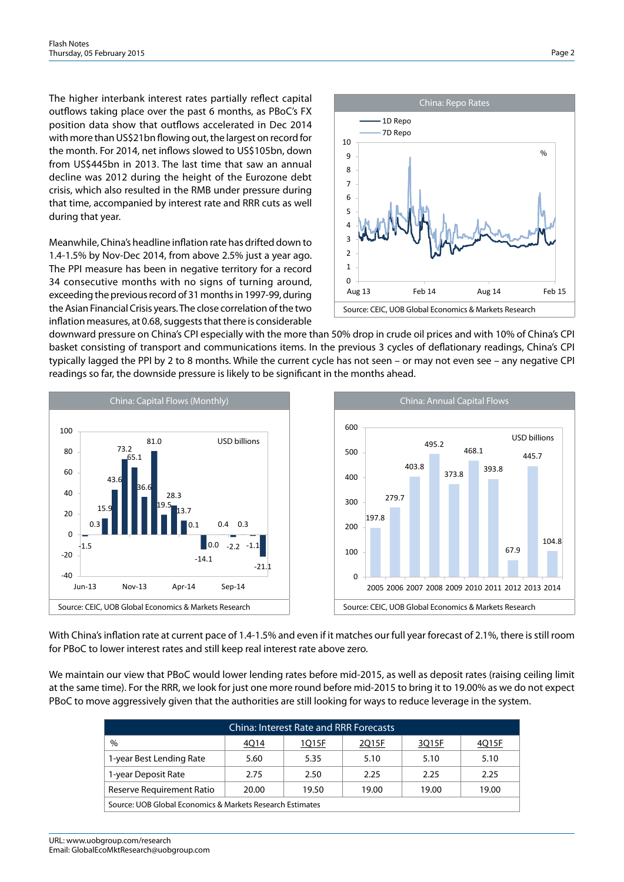The higher interbank interest rates partially reflect capital outflows taking place over the past 6 months, as PBoC's FX position data show that outflows accelerated in Dec 2014 with more than US\$21bn flowing out, the largest on record for the month. For 2014, net inflows slowed to US\$105bn, down from US\$445bn in 2013. The last time that saw an annual decline was 2012 during the height of the Eurozone debt crisis, which also resulted in the RMB under pressure during that time, accompanied by interest rate and RRR cuts as well during that year.

Meanwhile, China's headline inflation rate has drifted down to 1.4-1.5% by Nov-Dec 2014, from above 2.5% just a year ago. The PPI measure has been in negative territory for a record 34 consecutive months with no signs of turning around, exceeding the previous record of 31 months in 1997-99, during the Asian Financial Crisis years. The close correlation of the two inflation measures, at 0.68, suggests that there is considerable



downward pressure on China's CPI especially with the more than 50% drop in crude oil prices and with 10% of China's CPI basket consisting of transport and communications items. In the previous 3 cycles of deflationary readings, China's CPI typically lagged the PPI by 2 to 8 months. While the current cycle has not seen – or may not even see – any negative CPI readings so far, the downside pressure is likely to be significant in the months ahead.



With China's inflation rate at current pace of 1.4-1.5% and even if it matches our full year forecast of 2.1%, there is still room for PBoC to lower interest rates and still keep real interest rate above zero.

We maintain our view that PBoC would lower lending rates before mid-2015, as well as deposit rates (raising ceiling limit at the same time). For the RRR, we look for just one more round before mid-2015 to bring it to 19.00% as we do not expect PBoC to move aggressively given that the authorities are still looking for ways to reduce leverage in the system.

| <b>China: Interest Rate and RRR Forecasts</b>             |       |       |       |       |       |  |  |  |
|-----------------------------------------------------------|-------|-------|-------|-------|-------|--|--|--|
| $\frac{0}{0}$                                             | 4Q14  | 1Q15F | 2Q15F | 3Q15F | 4Q15F |  |  |  |
| 1-year Best Lending Rate                                  | 5.60  | 5.35  | 5.10  | 5.10  | 5.10  |  |  |  |
| 1-year Deposit Rate                                       | 2.75  | 2.50  | 2.25  | 2.25  | 2.25  |  |  |  |
| Reserve Requirement Ratio                                 | 20.00 | 19.50 | 19.00 | 19.00 | 19.00 |  |  |  |
| Source: UOB Global Economics & Markets Research Estimates |       |       |       |       |       |  |  |  |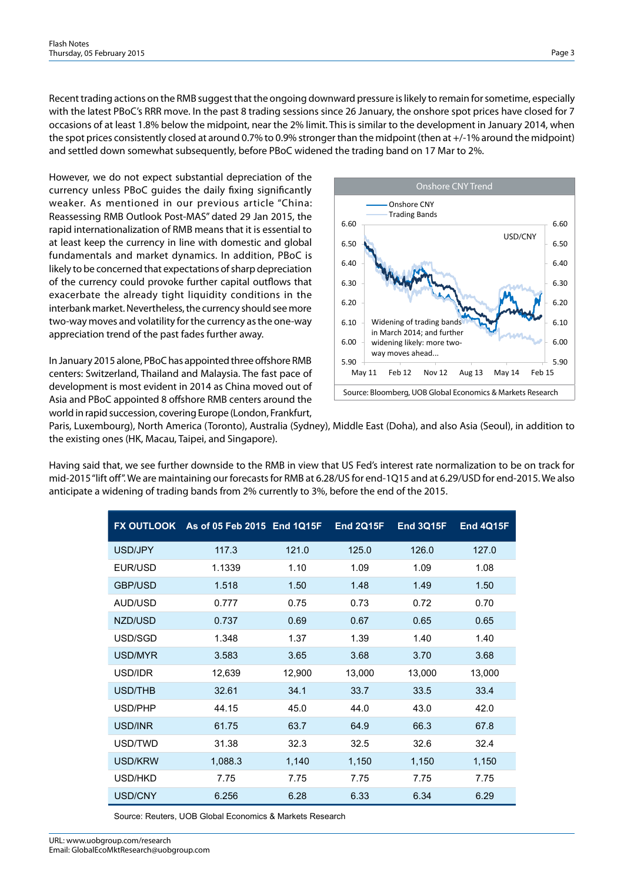Recent trading actions on the RMB suggest that the ongoing downward pressure is likely to remain for sometime, especially with the latest PBoC's RRR move. In the past 8 trading sessions since 26 January, the onshore spot prices have closed for 7 occasions of at least 1.8% below the midpoint, near the 2% limit. This is similar to the development in January 2014, when the spot prices consistently closed at around 0.7% to 0.9% stronger than the midpoint (then at +/-1% around the midpoint) and settled down somewhat subsequently, before PBoC widened the trading band on 17 Mar to 2%.

However, we do not expect substantial depreciation of the currency unless PBoC guides the daily fixing significantly weaker. As mentioned in our previous article "China: Reassessing RMB Outlook Post-MAS" dated 29 Jan 2015, the rapid internationalization of RMB means that it is essential to at least keep the currency in line with domestic and global fundamentals and market dynamics. In addition, PBoC is likely to be concerned that expectations of sharp depreciation of the currency could provoke further capital outflows that exacerbate the already tight liquidity conditions in the interbank market. Nevertheless, the currency should see more two-way moves and volatility for the currency as the one-way appreciation trend of the past fades further away.

In January 2015 alone, PBoC has appointed three offshore RMB centers: Switzerland, Thailand and Malaysia. The fast pace of development is most evident in 2014 as China moved out of Asia and PBoC appointed 8 offshore RMB centers around the world in rapid succession, covering Europe (London, Frankfurt,



Paris, Luxembourg), North America (Toronto), Australia (Sydney), Middle East (Doha), and also Asia (Seoul), in addition to the existing ones (HK, Macau, Taipei, and Singapore).

Having said that, we see further downside to the RMB in view that US Fed's interest rate normalization to be on track for mid-2015 "lift off". We are maintaining our forecasts for RMB at 6.28/US for end-1Q15 and at 6.29/USD for end-2015. We also anticipate a widening of trading bands from 2% currently to 3%, before the end of the 2015.

| <b>FX OUTLOOK</b> | As of 05 Feb 2015 End 1Q15F |        | <b>End 2Q15F</b> | <b>End 3Q15F</b> | <b>End 4Q15F</b> |
|-------------------|-----------------------------|--------|------------------|------------------|------------------|
| USD/JPY           | 117.3                       | 121.0  | 125.0            | 126.0            | 127.0            |
| EUR/USD           | 1.1339                      | 1.10   | 1.09             | 1.09             | 1.08             |
| <b>GBP/USD</b>    | 1.518                       | 1.50   | 1.48             | 1.49             | 1.50             |
| AUD/USD           | 0.777                       | 0.75   | 0.73             | 0.72             | 0.70             |
| NZD/USD           | 0.737                       | 0.69   | 0.67             | 0.65             | 0.65             |
| USD/SGD           | 1.348                       | 1.37   | 1.39             | 1.40             | 1.40             |
| USD/MYR           | 3.583                       | 3.65   | 3.68             | 3.70             | 3.68             |
| USD/IDR           | 12,639                      | 12,900 | 13,000           | 13,000           | 13,000           |
| USD/THB           | 32.61                       | 34.1   | 33.7             | 33.5             | 33.4             |
| USD/PHP           | 44.15                       | 45.0   | 44.0             | 43.0             | 42.0             |
| USD/INR           | 61.75                       | 63.7   | 64.9             | 66.3             | 67.8             |
| USD/TWD           | 31.38                       | 32.3   | 32.5             | 32.6             | 32.4             |
| <b>USD/KRW</b>    | 1,088.3                     | 1,140  | 1,150            | 1,150            | 1,150            |
| USD/HKD           | 7.75                        | 7.75   | 7.75             | 7.75             | 7.75             |
| USD/CNY           | 6.256                       | 6.28   | 6.33             | 6.34             | 6.29             |

Source: Reuters, UOB Global Economics & Markets Research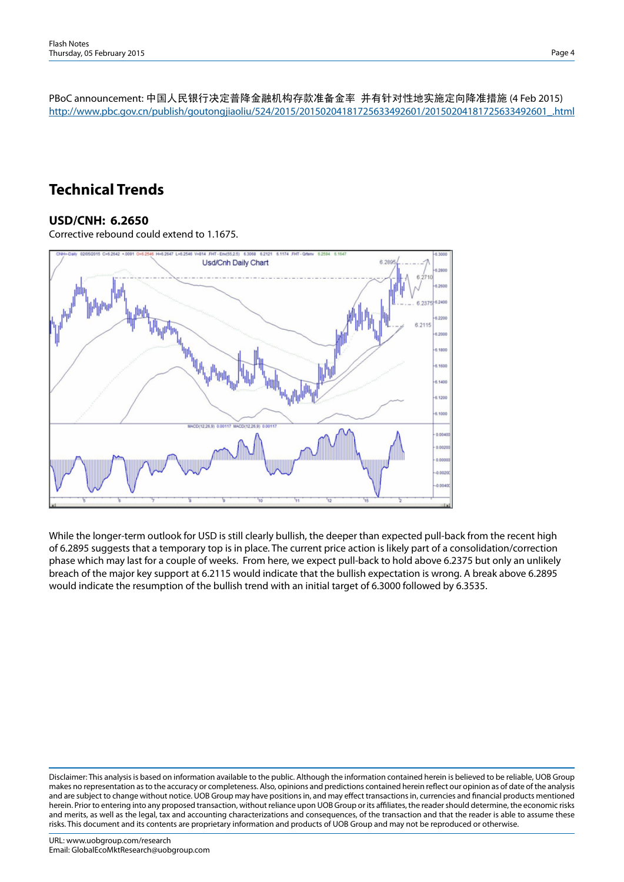PBoC announcement: 中国人民银行决定普降金融机构存款准备金率 并有针对性地实施定向降准措施 (4 Feb 2015) http://www.pbc.gov.cn/publish/goutongjiaoliu/524/2015/20150204181725633492601/20150204181725633492601\_.html

### **Technical Trends**

#### **USD/CNH: 6.2650**

Corrective rebound could extend to 1.1675.



While the longer-term outlook for USD is still clearly bullish, the deeper than expected pull-back from the recent high of 6.2895 suggests that a temporary top is in place. The current price action is likely part of a consolidation/correction phase which may last for a couple of weeks. From here, we expect pull-back to hold above 6.2375 but only an unlikely breach of the major key support at 6.2115 would indicate that the bullish expectation is wrong. A break above 6.2895 would indicate the resumption of the bullish trend with an initial target of 6.3000 followed by 6.3535.

Disclaimer: This analysis is based on information available to the public. Although the information contained herein is believed to be reliable, UOB Group makes no representation as to the accuracy or completeness. Also, opinions and predictions contained herein reflect our opinion as of date of the analysis and are subject to change without notice. UOB Group may have positions in, and may effect transactions in, currencies and financial products mentioned herein. Prior to entering into any proposed transaction, without reliance upon UOB Group or its affiliates, the reader should determine, the economic risks and merits, as well as the legal, tax and accounting characterizations and consequences, of the transaction and that the reader is able to assume these risks. This document and its contents are proprietary information and products of UOB Group and may not be reproduced or otherwise.